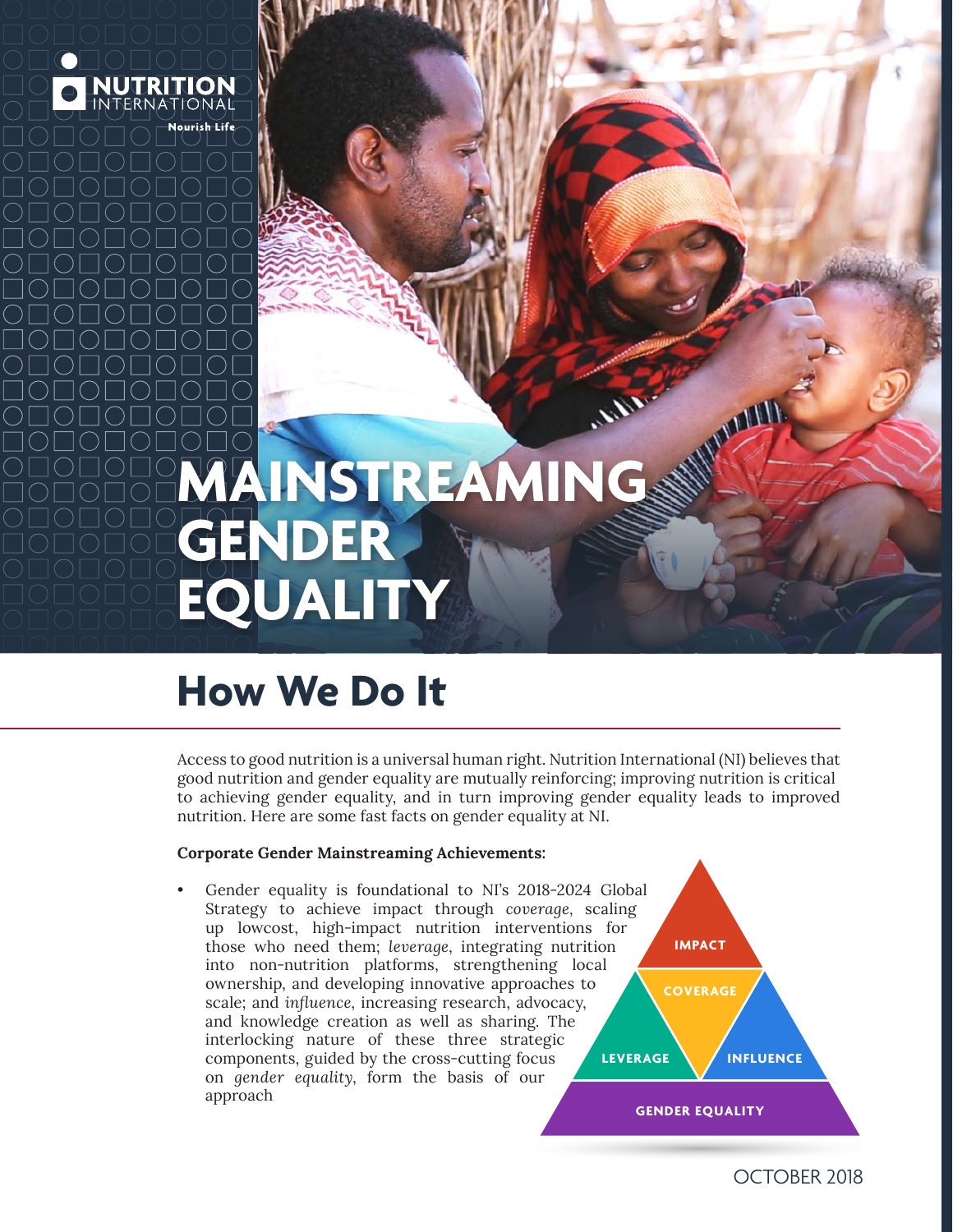

# **AINSTREAMING GENDER EQUALITY**

# **How We Do It**

Access to good nutrition is a universal human right. Nutrition International (NI) believes that good nutrition and gender equality are mutually reinforcing; improving nutrition is critical to achieving gender equality, and in turn improving gender equality leads to improved nutrition. Here are some fast facts on gender equality at NI.

# **Corporate Gender Mainstreaming Achievements:**

**IMPACT COVERAGE GENDER EQUALITY LEVERAGE INFLUENCE** Gender equality is foundational to NI's 2018-2024 Global Strategy to achieve impact through *coverage,* scaling up lowcost, high-impact nutrition interventions for those who need them; *leverage*, integrating nutrition into non-nutrition platforms, strengthening local ownership, and developing innovative approaches to scale; and *influence*, increasing research, advocacy, and knowledge creation as well as sharing. The interlocking nature of these three strategic components, guided by the cross-cutting focus on *gender equality*, form the basis of our approach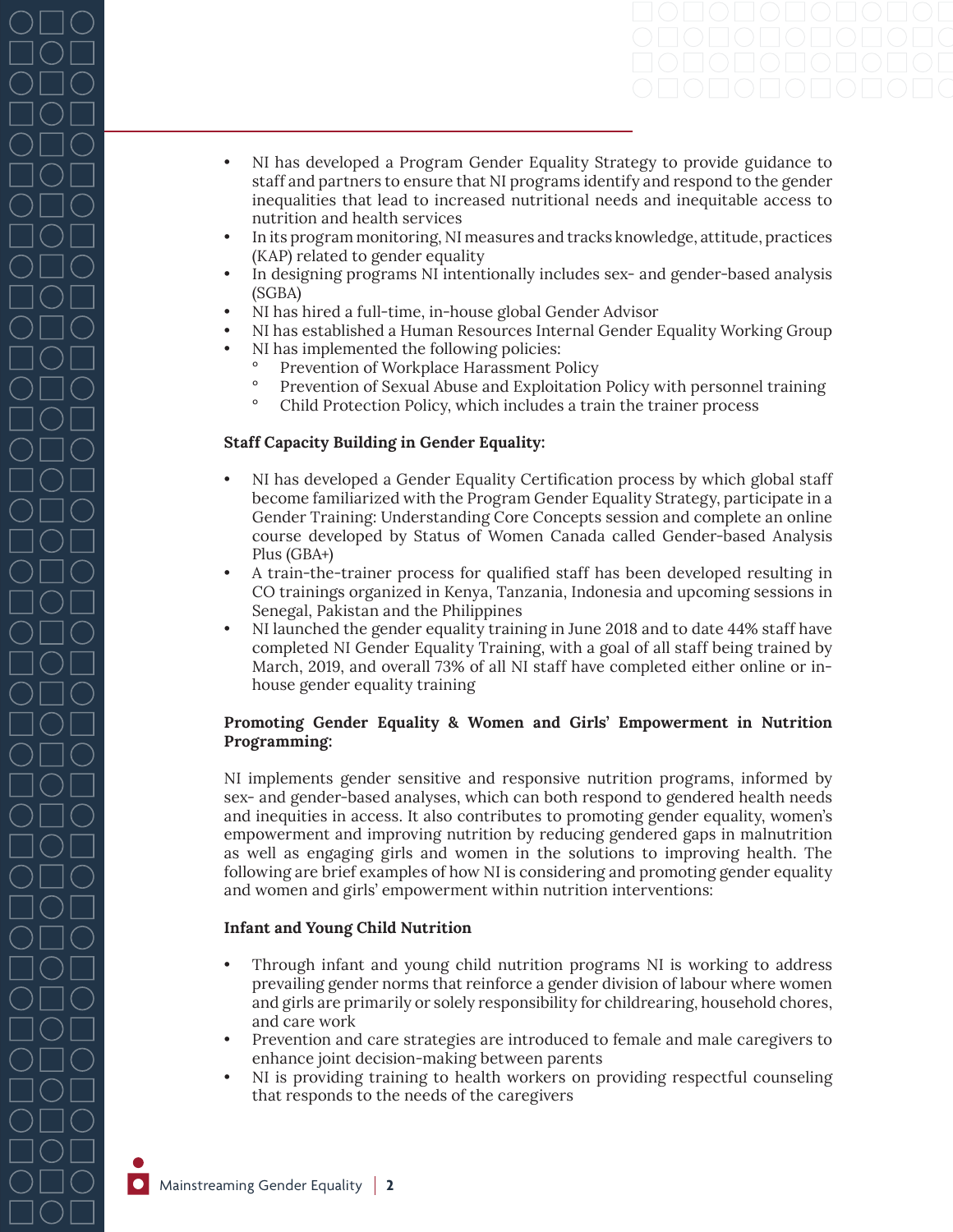- NI has developed a Program Gender Equality Strategy to provide guidance to staff and partners to ensure that NI programs identify and respond to the gender inequalities that lead to increased nutritional needs and inequitable access to nutrition and health services
- In its program monitoring, NI measures and tracks knowledge, attitude, practices (KAP) related to gender equality
- In designing programs NI intentionally includes sex- and gender-based analysis (SGBA)
- NI has hired a full-time, in-house global Gender Advisor
- NI has established a Human Resources Internal Gender Equality Working Group
- NI has implemented the following policies:
	- ° Prevention of Workplace Harassment Policy<br>Prevention of Sexual Abuse and Exploitation
	- ° Prevention of Sexual Abuse and Exploitation Policy with personnel training
	- ° Child Protection Policy, which includes a train the trainer process

#### **Staff Capacity Building in Gender Equality:**

- NI has developed a Gender Equality Certification process by which global staff become familiarized with the Program Gender Equality Strategy, participate in a Gender Training: Understanding Core Concepts session and complete an online course developed by Status of Women Canada called Gender-based Analysis Plus (GBA+)
- A train-the-trainer process for qualified staff has been developed resulting in CO trainings organized in Kenya, Tanzania, Indonesia and upcoming sessions in Senegal, Pakistan and the Philippines
- NI launched the gender equality training in June 2018 and to date 44% staff have completed NI Gender Equality Training, with a goal of all staff being trained by March, 2019, and overall 73% of all NI staff have completed either online or inhouse gender equality training

# **Promoting Gender Equality & Women and Girls' Empowerment in Nutrition Programming:**

NI implements gender sensitive and responsive nutrition programs, informed by sex- and gender-based analyses, which can both respond to gendered health needs and inequities in access. It also contributes to promoting gender equality, women's empowerment and improving nutrition by reducing gendered gaps in malnutrition as well as engaging girls and women in the solutions to improving health. The following are brief examples of how NI is considering and promoting gender equality and women and girls' empowerment within nutrition interventions:

#### **Infant and Young Child Nutrition**

- Through infant and young child nutrition programs NI is working to address prevailing gender norms that reinforce a gender division of labour where women and girls are primarily or solely responsibility for childrearing, household chores, and care work
- Prevention and care strategies are introduced to female and male caregivers to enhance joint decision-making between parents
- NI is providing training to health workers on providing respectful counseling that responds to the needs of the caregivers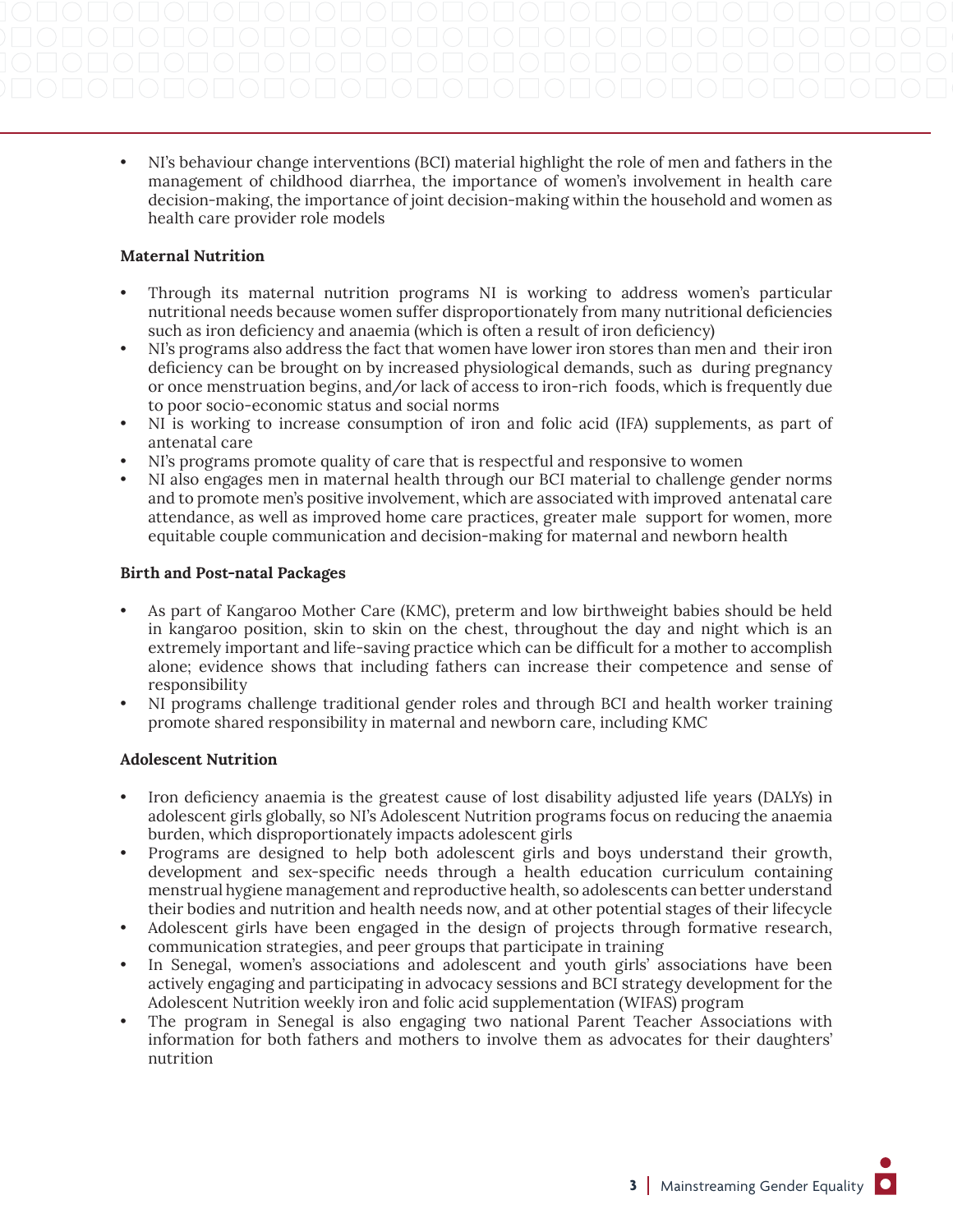• NI's behaviour change interventions (BCI) material highlight the role of men and fathers in the management of childhood diarrhea, the importance of women's involvement in health care decision-making, the importance of joint decision-making within the household and women as health care provider role models

# **Maternal Nutrition**

- Through its maternal nutrition programs NI is working to address women's particular nutritional needs because women suffer disproportionately from many nutritional deficiencies such as iron deficiency and anaemia (which is often a result of iron deficiency)
- NI's programs also address the fact that women have lower iron stores than men and their iron deficiency can be brought on by increased physiological demands, such as during pregnancy or once menstruation begins, and/or lack of access to iron-rich foods, which is frequently due to poor socio-economic status and social norms
- NI is working to increase consumption of iron and folic acid (IFA) supplements, as part of antenatal care
- NI's programs promote quality of care that is respectful and responsive to women
- NI also engages men in maternal health through our BCI material to challenge gender norms and to promote men's positive involvement, which are associated with improved antenatal care attendance, as well as improved home care practices, greater male support for women, more equitable couple communication and decision-making for maternal and newborn health

# **Birth and Post-natal Packages**

- As part of Kangaroo Mother Care (KMC), preterm and low birthweight babies should be held in kangaroo position, skin to skin on the chest, throughout the day and night which is an extremely important and life-saving practice which can be difficult for a mother to accomplish alone; evidence shows that including fathers can increase their competence and sense of responsibility
- NI programs challenge traditional gender roles and through BCI and health worker training promote shared responsibility in maternal and newborn care, including KMC

# **Adolescent Nutrition**

- Iron deficiency anaemia is the greatest cause of lost disability adjusted life years (DALYs) in adolescent girls globally, so NI's Adolescent Nutrition programs focus on reducing the anaemia burden, which disproportionately impacts adolescent girls
- Programs are designed to help both adolescent girls and boys understand their growth, development and sex-specific needs through a health education curriculum containing menstrual hygiene management and reproductive health, so adolescents can better understand their bodies and nutrition and health needs now, and at other potential stages of their lifecycle
- Adolescent girls have been engaged in the design of projects through formative research, communication strategies, and peer groups that participate in training
- In Senegal, women's associations and adolescent and youth girls' associations have been actively engaging and participating in advocacy sessions and BCI strategy development for the Adolescent Nutrition weekly iron and folic acid supplementation (WIFAS) program
- The program in Senegal is also engaging two national Parent Teacher Associations with information for both fathers and mothers to involve them as advocates for their daughters' nutrition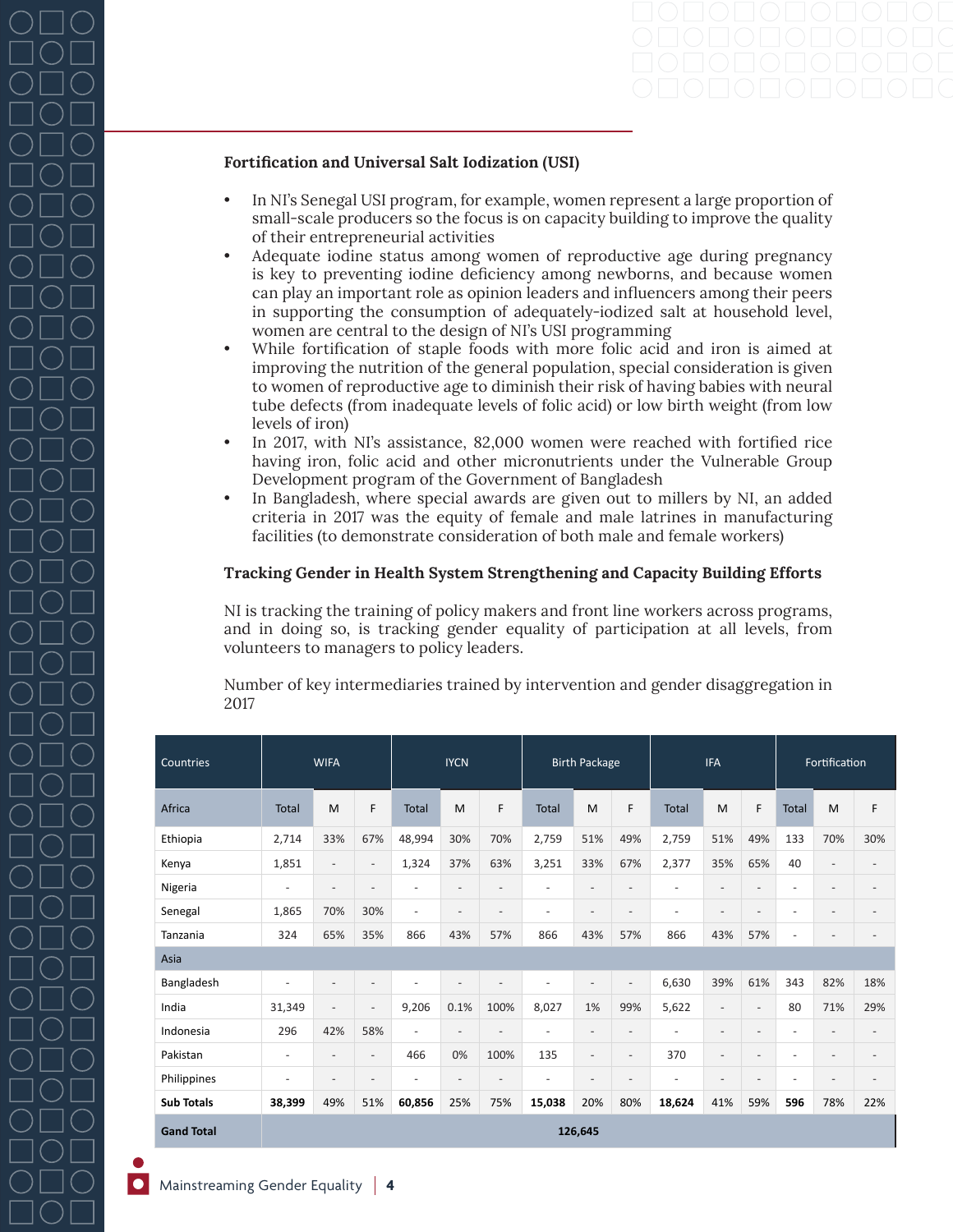#### **Fortification and Universal Salt Iodization (USI)**

- In NI's Senegal USI program, for example, women represent a large proportion of small-scale producers so the focus is on capacity building to improve the quality of their entrepreneurial activities
- Adequate iodine status among women of reproductive age during pregnancy is key to preventing iodine deficiency among newborns, and because women can play an important role as opinion leaders and influencers among their peers in supporting the consumption of adequately-iodized salt at household level, women are central to the design of NI's USI programming
- While fortification of staple foods with more folic acid and iron is aimed at improving the nutrition of the general population, special consideration is given to women of reproductive age to diminish their risk of having babies with neural tube defects (from inadequate levels of folic acid) or low birth weight (from low levels of iron)
- In 2017, with NI's assistance, 82,000 women were reached with fortified rice having iron, folic acid and other micronutrients under the Vulnerable Group Development program of the Government of Bangladesh
- In Bangladesh, where special awards are given out to millers by NI, an added criteria in 2017 was the equity of female and male latrines in manufacturing facilities (to demonstrate consideration of both male and female workers)

### **Tracking Gender in Health System Strengthening and Capacity Building Efforts**

NI is tracking the training of policy makers and front line workers across programs, and in doing so, is tracking gender equality of participation at all levels, from volunteers to managers to policy leaders.

Number of key intermediaries trained by intervention and gender disaggregation in 2017

| Countries         | <b>WIFA</b>              |                          |                          | <b>IYCN</b>              |                          |                          | <b>Birth Package</b>     |                          |                          | <b>IFA</b>               |                          |                          | Fortification            |                          |                          |
|-------------------|--------------------------|--------------------------|--------------------------|--------------------------|--------------------------|--------------------------|--------------------------|--------------------------|--------------------------|--------------------------|--------------------------|--------------------------|--------------------------|--------------------------|--------------------------|
| Africa            | <b>Total</b>             | M                        | F                        | <b>Total</b>             | M                        | F                        | <b>Total</b>             | M                        | F                        | <b>Total</b>             | M                        | F                        | <b>Total</b>             | M                        | F                        |
| Ethiopia          | 2,714                    | 33%                      | 67%                      | 48,994                   | 30%                      | 70%                      | 2,759                    | 51%                      | 49%                      | 2,759                    | 51%                      | 49%                      | 133                      | 70%                      | 30%                      |
| Kenya             | 1,851                    | $\overline{\phantom{a}}$ | $\overline{\phantom{a}}$ | 1,324                    | 37%                      | 63%                      | 3,251                    | 33%                      | 67%                      | 2,377                    | 35%                      | 65%                      | 40                       | $\overline{\phantom{a}}$ | $\overline{\phantom{a}}$ |
| Nigeria           | ٠                        | $\overline{\phantom{a}}$ | $\overline{\phantom{a}}$ | $\overline{\phantom{a}}$ | $\overline{\phantom{a}}$ | $\overline{\phantom{a}}$ | $\overline{\phantom{a}}$ | $\overline{\phantom{m}}$ | $\overline{\phantom{a}}$ | ٠                        | $\overline{\phantom{a}}$ | $\overline{\phantom{a}}$ | $\overline{\phantom{a}}$ | $\overline{\phantom{a}}$ | $\overline{\phantom{a}}$ |
| Senegal           | 1,865                    | 70%                      | 30%                      | $\overline{\phantom{a}}$ | $\overline{\phantom{a}}$ | $\overline{\phantom{a}}$ | $\overline{\phantom{a}}$ | $\overline{\phantom{a}}$ | $\qquad \qquad -$        | $\overline{\phantom{a}}$ | $\overline{\phantom{a}}$ | $\overline{\phantom{0}}$ | $\overline{\phantom{a}}$ | $\overline{\phantom{a}}$ | $\overline{\phantom{m}}$ |
| Tanzania          | 324                      | 65%                      | 35%                      | 866                      | 43%                      | 57%                      | 866                      | 43%                      | 57%                      | 866                      | 43%                      | 57%                      | $\overline{\phantom{a}}$ | $\overline{\phantom{a}}$ | $\overline{\phantom{m}}$ |
| Asia              |                          |                          |                          |                          |                          |                          |                          |                          |                          |                          |                          |                          |                          |                          |                          |
| Bangladesh        | $\overline{a}$           | $\overline{\phantom{a}}$ | $\overline{\phantom{a}}$ | $\overline{\phantom{a}}$ | $\overline{\phantom{a}}$ | $\overline{\phantom{a}}$ | $\overline{\phantom{a}}$ | $\overline{\phantom{a}}$ | $\overline{\phantom{a}}$ | 6,630                    | 39%                      | 61%                      | 343                      | 82%                      | 18%                      |
| India             | 31,349                   | $\overline{\phantom{a}}$ | $\overline{\phantom{a}}$ | 9,206                    | 0.1%                     | 100%                     | 8,027                    | 1%                       | 99%                      | 5,622                    | $\overline{\phantom{a}}$ | $\overline{\phantom{a}}$ | 80                       | 71%                      | 29%                      |
| Indonesia         | 296                      | 42%                      | 58%                      | $\overline{\phantom{a}}$ | $\overline{\phantom{a}}$ | $\overline{\phantom{a}}$ | $\overline{\phantom{a}}$ | $\overline{\phantom{a}}$ | $\overline{\phantom{a}}$ | $\overline{\phantom{a}}$ | $\overline{\phantom{a}}$ | $\overline{\phantom{a}}$ | $\overline{\phantom{a}}$ | $\overline{\phantom{a}}$ | $\overline{\phantom{a}}$ |
| Pakistan          | $\overline{\phantom{a}}$ | $\overline{\phantom{a}}$ | $\overline{\phantom{a}}$ | 466                      | 0%                       | 100%                     | 135                      | $\overline{\phantom{a}}$ | $\overline{\phantom{a}}$ | 370                      | $\overline{\phantom{a}}$ | $\overline{\phantom{a}}$ | $\overline{\phantom{a}}$ | $\overline{\phantom{a}}$ | $\overline{\phantom{m}}$ |
| Philippines       | ٠                        | $\overline{\phantom{a}}$ | $\overline{\phantom{a}}$ | $\overline{\phantom{a}}$ | $\overline{\phantom{a}}$ | $\overline{\phantom{a}}$ | $\overline{\phantom{a}}$ | $\overline{\phantom{a}}$ | $\overline{\phantom{a}}$ | $\overline{\phantom{a}}$ | $\overline{\phantom{a}}$ | $\overline{\phantom{a}}$ | $\overline{\phantom{a}}$ | $\overline{\phantom{a}}$ | $\overline{\phantom{a}}$ |
| <b>Sub Totals</b> | 38,399                   | 49%                      | 51%                      | 60,856                   | 25%                      | 75%                      | 15,038                   | 20%                      | 80%                      | 18,624                   | 41%                      | 59%                      | 596                      | 78%                      | 22%                      |
| <b>Gand Total</b> | 126,645                  |                          |                          |                          |                          |                          |                          |                          |                          |                          |                          |                          |                          |                          |                          |

Mainstreaming Gender Equality **4**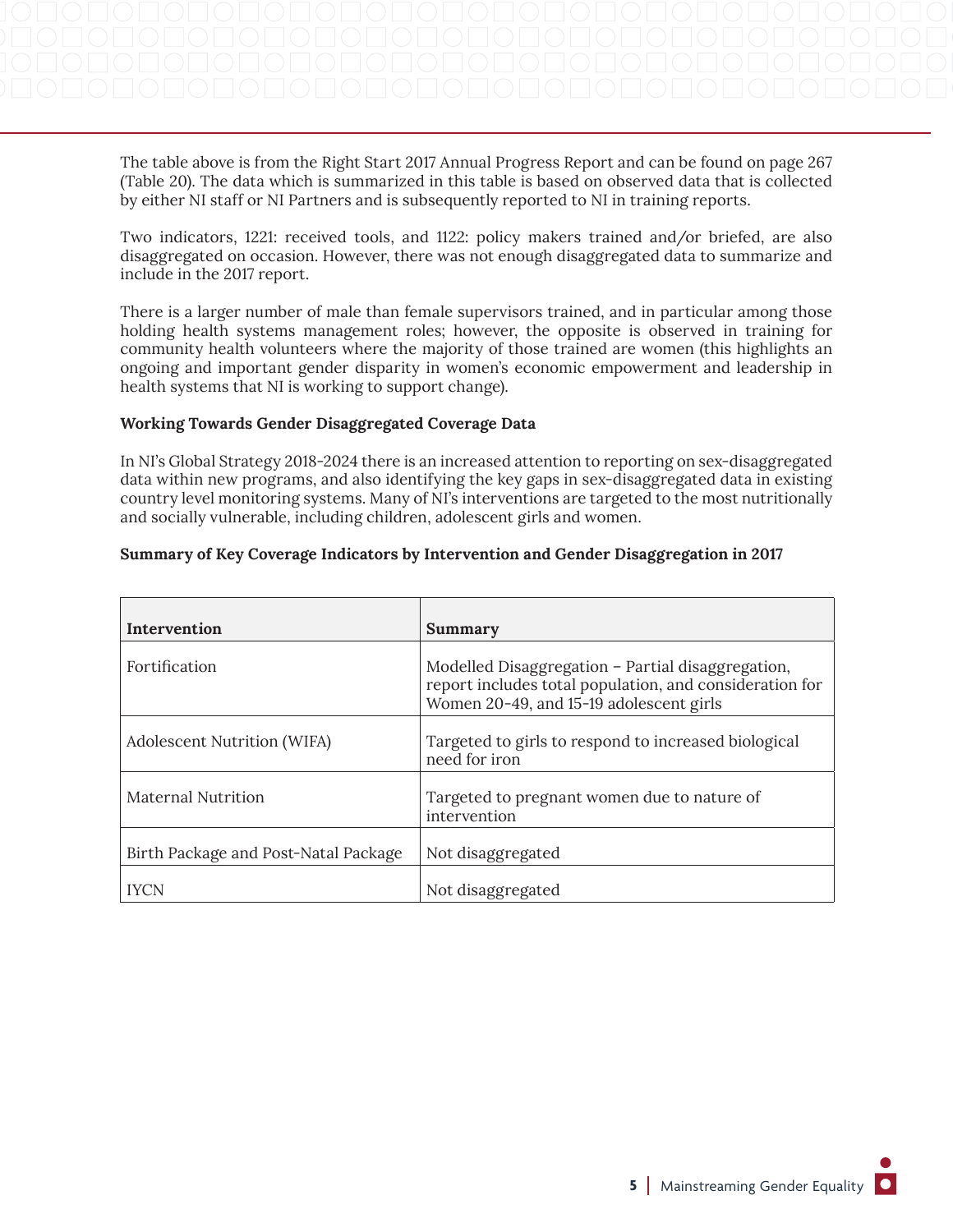The table above is from the Right Start 2017 Annual Progress Report and can be found on page 267 (Table 20). The data which is summarized in this table is based on observed data that is collected by either NI staff or NI Partners and is subsequently reported to NI in training reports.

Two indicators, 1221: received tools, and 1122: policy makers trained and/or briefed, are also disaggregated on occasion. However, there was not enough disaggregated data to summarize and include in the 2017 report.

There is a larger number of male than female supervisors trained, and in particular among those holding health systems management roles; however, the opposite is observed in training for community health volunteers where the majority of those trained are women (this highlights an ongoing and important gender disparity in women's economic empowerment and leadership in health systems that NI is working to support change).

#### **Working Towards Gender Disaggregated Coverage Data**

In NI's Global Strategy 2018-2024 there is an increased attention to reporting on sex-disaggregated data within new programs, and also identifying the key gaps in sex-disaggregated data in existing country level monitoring systems. Many of NI's interventions are targeted to the most nutritionally and socially vulnerable, including children, adolescent girls and women.

### **Summary of Key Coverage Indicators by Intervention and Gender Disaggregation in 2017**

| Intervention                         | Summary                                                                                                                                                 |
|--------------------------------------|---------------------------------------------------------------------------------------------------------------------------------------------------------|
| Fortification                        | Modelled Disaggregation - Partial disaggregation,<br>report includes total population, and consideration for<br>Women 20-49, and 15-19 adolescent girls |
| Adolescent Nutrition (WIFA)          | Targeted to girls to respond to increased biological<br>need for iron                                                                                   |
| <b>Maternal Nutrition</b>            | Targeted to pregnant women due to nature of<br>intervention                                                                                             |
| Birth Package and Post-Natal Package | Not disaggregated                                                                                                                                       |
| <b>IYCN</b>                          | Not disaggregated                                                                                                                                       |